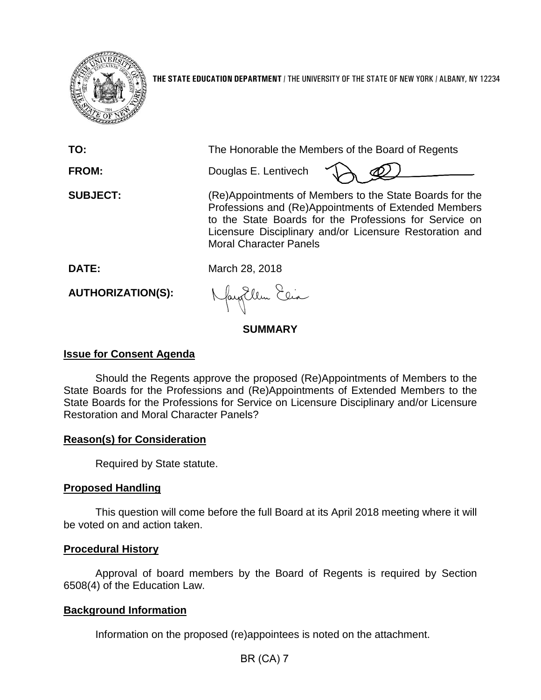

**THE STATE EDUCATION DEPARTMENT** / THE UNIVERSITY OF THE STATE OF NEW YORK / ALBANY, NY 12234

| TO:                      | The Honorable the Members of the Board of Regents                                                                                                                                                                                                                     |  |  |  |
|--------------------------|-----------------------------------------------------------------------------------------------------------------------------------------------------------------------------------------------------------------------------------------------------------------------|--|--|--|
| <b>FROM:</b>             | Douglas E. Lentivech                                                                                                                                                                                                                                                  |  |  |  |
| <b>SUBJECT:</b>          | (Re)Appointments of Members to the State Boards for the<br>Professions and (Re)Appointments of Extended Members<br>to the State Boards for the Professions for Service on<br>Licensure Disciplinary and/or Licensure Restoration and<br><b>Moral Character Panels</b> |  |  |  |
| DATE:                    | March 28, 2018                                                                                                                                                                                                                                                        |  |  |  |
| <b>AUTHORIZATION(S):</b> | Nayollen Elia                                                                                                                                                                                                                                                         |  |  |  |

## **SUMMARY**

## **Issue for Consent Agenda**

Should the Regents approve the proposed (Re)Appointments of Members to the State Boards for the Professions and (Re)Appointments of Extended Members to the State Boards for the Professions for Service on Licensure Disciplinary and/or Licensure Restoration and Moral Character Panels?

## **Reason(s) for Consideration**

Required by State statute.

## **Proposed Handling**

This question will come before the full Board at its April 2018 meeting where it will be voted on and action taken.

#### **Procedural History**

Approval of board members by the Board of Regents is required by Section 6508(4) of the Education Law.

## **Background Information**

Information on the proposed (re)appointees is noted on the attachment.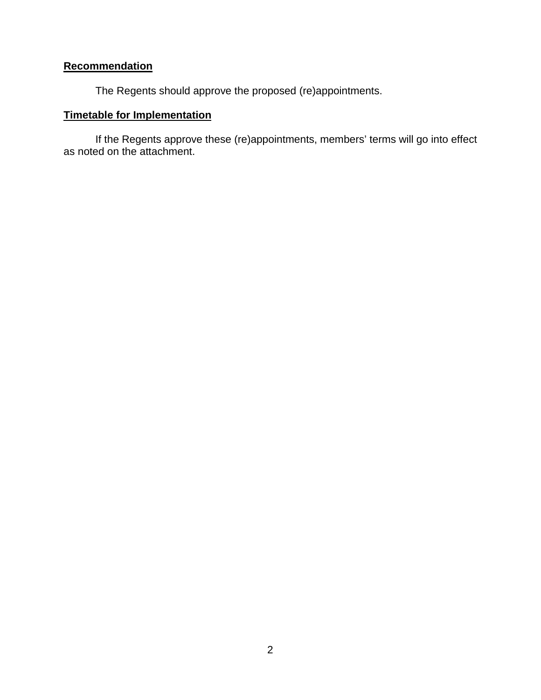# **Recommendation**

The Regents should approve the proposed (re)appointments.

## **Timetable for Implementation**

If the Regents approve these (re)appointments, members' terms will go into effect as noted on the attachment.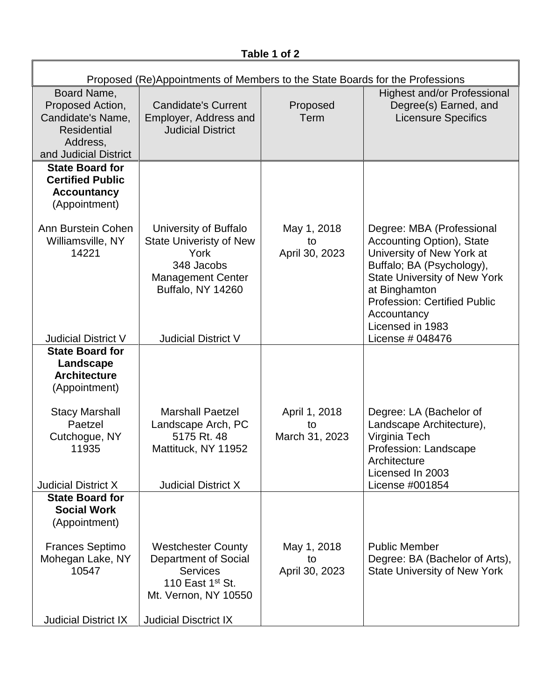| Table 1 of 2 |
|--------------|
|--------------|

| Proposed (Re)Appointments of Members to the State Boards for the Professions                                    |                                                                                                                                       |                                       |                                                                                                                                                                                                                                                    |  |  |  |
|-----------------------------------------------------------------------------------------------------------------|---------------------------------------------------------------------------------------------------------------------------------------|---------------------------------------|----------------------------------------------------------------------------------------------------------------------------------------------------------------------------------------------------------------------------------------------------|--|--|--|
| Board Name,<br>Proposed Action,<br>Candidate's Name,<br><b>Residential</b><br>Address,<br>and Judicial District | <b>Candidate's Current</b><br>Employer, Address and<br><b>Judicial District</b>                                                       | Proposed<br>Term                      | <b>Highest and/or Professional</b><br>Degree(s) Earned, and<br><b>Licensure Specifics</b>                                                                                                                                                          |  |  |  |
| <b>State Board for</b><br><b>Certified Public</b><br><b>Accountancy</b><br>(Appointment)                        |                                                                                                                                       |                                       |                                                                                                                                                                                                                                                    |  |  |  |
| Ann Burstein Cohen<br>Williamsville, NY<br>14221                                                                | University of Buffalo<br><b>State Univeristy of New</b><br>York<br>348 Jacobs<br><b>Management Center</b><br><b>Buffalo, NY 14260</b> | May 1, 2018<br>to<br>April 30, 2023   | Degree: MBA (Professional<br>Accounting Option), State<br>University of New York at<br>Buffalo; BA (Psychology),<br><b>State University of New York</b><br>at Binghamton<br><b>Profession: Certified Public</b><br>Accountancy<br>Licensed in 1983 |  |  |  |
| <b>Judicial District V</b><br><b>State Board for</b><br>Landscape<br><b>Architecture</b>                        | <b>Judicial District V</b>                                                                                                            |                                       | License # 048476                                                                                                                                                                                                                                   |  |  |  |
| (Appointment)                                                                                                   |                                                                                                                                       |                                       |                                                                                                                                                                                                                                                    |  |  |  |
| <b>Stacy Marshall</b><br>Paetzel<br>Cutchogue, NY<br>11935                                                      | <b>Marshall Paetzel</b><br>Landscape Arch, PC<br>5175 Rt. 48<br>Mattituck, NY 11952                                                   | April 1, 2018<br>to<br>March 31, 2023 | Degree: LA (Bachelor of<br>Landscape Architecture),<br>Virginia Tech<br>Profession: Landscape<br>Architecture<br>Licensed In 2003                                                                                                                  |  |  |  |
| <b>Judicial District X</b><br><b>State Board for</b><br><b>Social Work</b>                                      | <b>Judicial District X</b>                                                                                                            |                                       | License #001854                                                                                                                                                                                                                                    |  |  |  |
| (Appointment)                                                                                                   |                                                                                                                                       |                                       |                                                                                                                                                                                                                                                    |  |  |  |
| <b>Frances Septimo</b><br>Mohegan Lake, NY<br>10547                                                             | <b>Westchester County</b><br>Department of Social<br><b>Services</b><br>110 East 1 <sup>st</sup> St.<br>Mt. Vernon, NY 10550          | May 1, 2018<br>to<br>April 30, 2023   | <b>Public Member</b><br>Degree: BA (Bachelor of Arts),<br><b>State University of New York</b>                                                                                                                                                      |  |  |  |
| <b>Judicial District IX</b>                                                                                     | <b>Judicial Disctrict IX</b>                                                                                                          |                                       |                                                                                                                                                                                                                                                    |  |  |  |